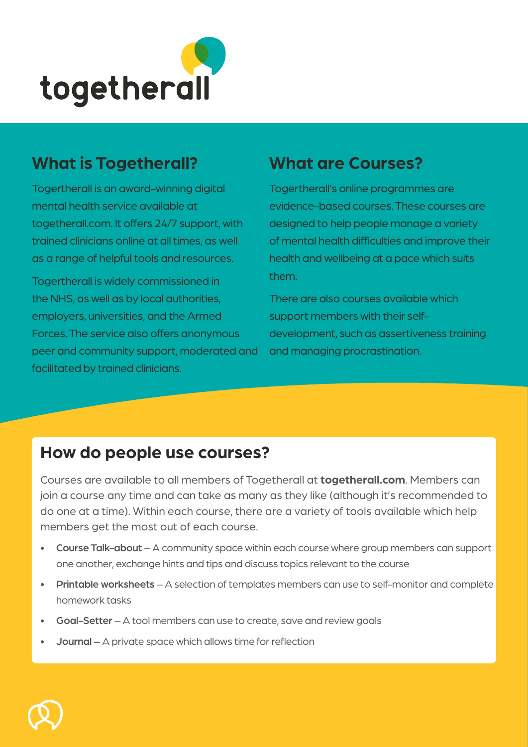

# **What is Togetherall? What are Courses?**

Togertherall is an award-winning digital mental health service available at togetherall.com. It offers 24/7 support, with trained clinicians online at all times, as well as a range of helpful tools and resources.

Togertherall is widely commissioned in the NHS, as well as by local authorities, employers, universities, and the Armed Forces. The service also offers anonymous peer and community support, moderated and facilitated by trained clinicians.

Togertherall's online programmes are evidence-based courses. These courses are designed to help people manage a variety of mental health difficulties and improve their health and wellbeing at a pace which suits them.

There are also courses available which support members with their selfdevelopment, such as assertiveness training and managing procrastination.

# **How do people use courses?**

Courses are available to all members of Togetherall at **togetherall.com**. Members can join a course any time and can take as many as they like (although it's recommended to do one at a time). Within each course, there are a variety of tools available which help members get the most out of each course.

- Course Talk-about A community space within each course where group members can support one another, exchange hints and tips and discuss topics relevant to the course
- Printable worksheets  $-$  A selection of templates members can use to self-monitor and complete homework tasks
- Goal-Setter A tool members can use to create, save and review goals
- Journal A private space which allows time for reflection

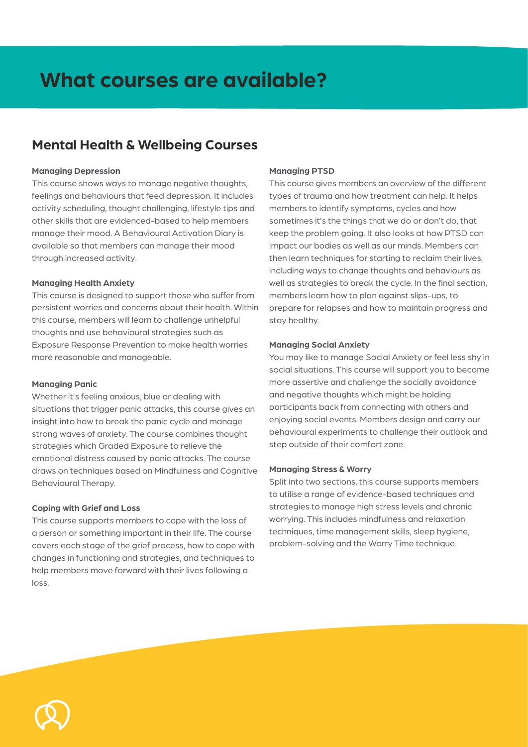### **Mental Health & Wellbeing Courses**

#### **Managing Depression**

This course shows ways to manage negative thoughts, feelings and behaviours that feed depression. It includes activity scheduling, thought challenging, lifestyle tips and other skills that are evidenced-based to help members manage their mood. A Behavioural Activation Diary is available so that members can manage their mood through increased activity.

#### **Managing Health Anxiety**

This course is designed to support those who suffer from persistent worries and concerns about their health. Within this course, members will learn to challenge unhelpful thoughts and use behavioural strategies such as Exposure Response Prevention to make health worries more reasonable and manageable.

#### **Managing Panic**

Whether it's feeling anxious, blue or dealing with situations that trigger panic attacks, this course gives an insight into how to break the panic cycle and manage strong waves of anxiety. The course combines thought strategies which Graded Exposure to relieve the emotional distress caused by panic attacks. The course draws on techniques based on Mindfulness and Cognitive Behavioural Therapy.

### **Coping with Grief and Loss**

This course supports members to cope with the loss of a person or something important in their life. The course covers each stage of the grief process, how to cope with changes in functioning and strategies, and techniques to help members move forward with their lives following a loss.

#### **Managing PTSD**

This course gives members an overview of the different types of trauma and how treatment can help. It helps members to identify symptoms, cycles and how sometimes it's the things that we do or don't do, that keep the problem going. It also looks at how PTSD can impact our bodies as well as our minds. Members can then learn techniques for starting to reclaim their lives, including ways to change thoughts and behaviours as well as strategies to break the cycle. In the final section, members learn how to plan against slips-ups, to prepare for relapses and how to maintain progress and stay healthy.

#### **Managing Social Anxiety**

You may like to manage Social Anxiety or feel less shy in social situations. This course will support you to become more assertive and challenge the socially avoidance and negative thoughts which might be holding participants back from connecting with others and enjoying social events. Members design and carry our behavioural experiments to challenge their outlook and step outside of their comfort zone.

### **Managing Stress & Worry**

Split into two sections, this course supports members to utilise a range of evidence-based techniques and strategies to manage high stress levels and chronic worrying. This includes mindfulness and relaxation techniques, time management skills, sleep hygiene, problem-solving and the Worry Time technique.

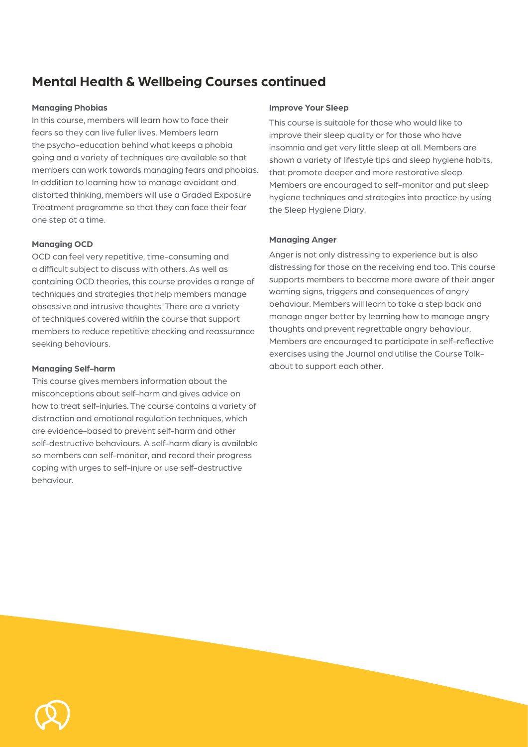# **Mental Health & Wellbeing Courses continued**

#### **Managing Phobias**

In this course, members will learn how to face their fears so they can live fuller lives. Members learn the psycho-education behind what keeps a phobia going and a variety of techniques are available so that members can work towards managing fears and phobias. In addition to learning how to manage avoidant and distorted thinking, members will use a Graded Exposure Treatment programme so that they can face their fear one step at a time.

#### **Managing OCD**

OCD can feel very repetitive, time-consuming and a difficult subject to discuss with others. As well as containing OCD theories, this course provides a range of techniques and strategies that help members manage obsessive and intrusive thoughts. There are a variety of techniques covered within the course that support members to reduce repetitive checking and reassurance seeking behaviours.

#### **Managing Self-harm**

This course gives members information about the misconceptions about self-harm and gives advice on how to treat self-injuries. The course contains a variety of distraction and emotional regulation techniques, which are evidence-based to prevent self-harm and other self-destructive behaviours. A self-harm diary is available so members can self-monitor, and record their progress coping with urges to self-injure or use self-destructive behaviour.

#### **Improve Your Sleep**

This course is suitable for those who would like to improve their sleep quality or for those who have insomnia and get very little sleep at all. Members are shown a variety of lifestyle tips and sleep hygiene habits, that promote deeper and more restorative sleep. Members are encouraged to self-monitor and put sleep hygiene techniques and strategies into practice by using the Sleep Hygiene Diary.

#### **Managing Anger**

Anger is not only distressing to experience but is also distressing for those on the receiving end too. This course supports members to become more aware of their anger warning signs, triggers and consequences of angry behaviour. Members will learn to take a step back and manage anger better by learning how to manage angry thoughts and prevent regrettable angry behaviour. Members are encouraged to participate in self-reflective exercises using the Journal and utilise the Course Talkabout to support each other.